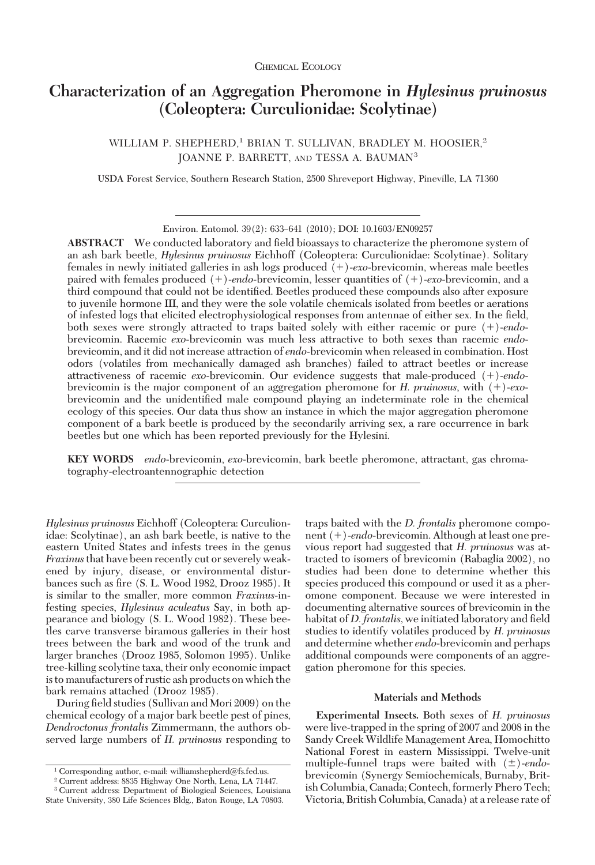# **Characterization of an Aggregation Pheromone in** *Hylesinus pruinosus* **(Coleoptera: Curculionidae: Scolytinae)**

WILLIAM P. SHEPHERD,<sup>1</sup> BRIAN T. SULLIVAN, BRADLEY M. HOOSIER,<sup>2</sup> JOANNE P. BARRETT, AND TESSA A. BAUMAN3

USDA Forest Service, Southern Research Station, 2500 Shreveport Highway, Pineville, LA 71360

Environ. Entomol. 39(2): 633-641 (2010); DOI: 10.1603/EN09257

ABSTRACT We conducted laboratory and field bioassays to characterize the pheromone system of an ash bark beetle, *Hylesinus pruinosus* Eichhoff (Coleoptera: Curculionidae: Scolytinae). Solitary females in newly initiated galleries in ash logs produced ()-*exo*-brevicomin, whereas male beetles paired with females produced ()-*endo-*brevicomin, lesser quantities of ()-*exo*-brevicomin, and a third compound that could not be identified. Beetles produced these compounds also after exposure to juvenile hormone III, and they were the sole volatile chemicals isolated from beetles or aerations of infested logs that elicited electrophysiological responses from antennae of either sex. In the field, both sexes were strongly attracted to traps baited solely with either racemic or pure  $(+)$ -endobrevicomin. Racemic *exo*-brevicomin was much less attractive to both sexes than racemic *endo*brevicomin, and it did not increase attraction of *endo*-brevicomin when released in combination. Host odors (volatiles from mechanically damaged ash branches) failed to attract beetles or increase attractiveness of racemic *exo*-brevicomin. Our evidence suggests that male-produced (+)-endobrevicomin is the major component of an aggregation pheromone for *H. pruinosus*, with  $(+)$ -exobrevicomin and the unidentified male compound playing an indeterminate role in the chemical ecology of this species. Our data thus show an instance in which the major aggregation pheromone component of a bark beetle is produced by the secondarily arriving sex*,* a rare occurrence in bark beetles but one which has been reported previously for the Hylesini.

**KEY WORDS** *endo*-brevicomin, *exo*-brevicomin, bark beetle pheromone, attractant, gas chromatography-electroantennographic detection

*Hylesinus pruinosus* Eichhoff (Coleoptera: Curculionidae: Scolytinae), an ash bark beetle, is native to the eastern United States and infests trees in the genus *Fraxinus*that have been recently cut or severely weakened by injury, disease, or environmental disturbances such as fire (S. L. Wood 1982, Drooz 1985). It is similar to the smaller, more common *Fraxinus*-infesting species, *Hylesinus aculeatus* Say, in both appearance and biology (S. L. Wood 1982). These beetles carve transverse biramous galleries in their host trees between the bark and wood of the trunk and larger branches (Drooz 1985, Solomon 1995). Unlike tree-killing scolytine taxa, their only economic impact is to manufacturers of rustic ash products on which the bark remains attached (Drooz 1985).

During field studies (Sullivan and Mori 2009) on the chemical ecology of a major bark beetle pest of pines, *Dendroctonus frontalis* Zimmermann, the authors observed large numbers of *H. pruinosus* responding to traps baited with the *D. frontalis* pheromone component (+)-*endo*-brevicomin. Although at least one previous report had suggested that *H. pruinosus* was attracted to isomers of brevicomin (Rabaglia 2002), no studies had been done to determine whether this species produced this compound or used it as a pheromone component. Because we were interested in documenting alternative sources of brevicomin in the habitat of *D. frontalis*, we initiated laboratory and field studies to identify volatiles produced by *H. pruinosus* and determine whether *endo*-brevicomin and perhaps additional compounds were components of an aggregation pheromone for this species.

# **Materials and Methods**

**Experimental Insects.** Both sexes of *H. pruinosus* were live-trapped in the spring of 2007 and 2008 in the Sandy Creek Wildlife Management Area, Homochitto National Forest in eastern Mississippi. Twelve-unit multiple-funnel traps were baited with ( $\pm$ )-endobrevicomin (Synergy Semiochemicals, Burnaby, British Columbia, Canada; Contech, formerly Phero Tech; Victoria, British Columbia, Canada) at a release rate of

<sup>1</sup> Corresponding author, e-mail: williamshepherd@fs.fed.us.

<sup>2</sup> Current address: 8835 Highway One North, Lena, LA 71447.

<sup>3</sup> Current address: Department of Biological Sciences, Louisiana State University, 380 Life Sciences Bldg., Baton Rouge, LA 70803.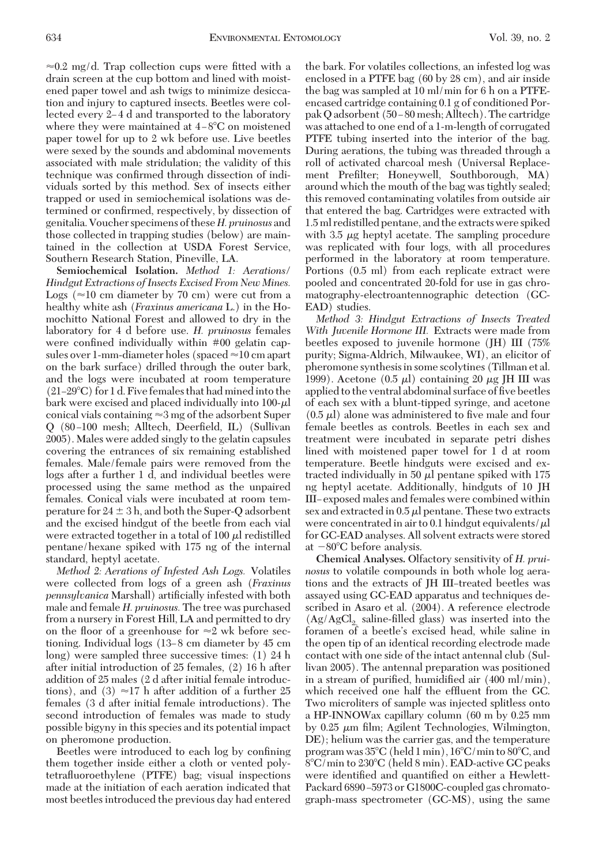$\approx 0.2$  mg/d. Trap collection cups were fitted with a drain screen at the cup bottom and lined with moistened paper towel and ash twigs to minimize desiccation and injury to captured insects. Beetles were collected every 2–4 d and transported to the laboratory where they were maintained at  $4-8^{\circ}$ C on moistened paper towel for up to 2 wk before use. Live beetles were sexed by the sounds and abdominal movements associated with male stridulation; the validity of this technique was confirmed through dissection of individuals sorted by this method. Sex of insects either trapped or used in semiochemical isolations was determined or confirmed, respectively, by dissection of genitalia.Voucher specimens of these*H. pruinosus* and those collected in trapping studies (below) are maintained in the collection at USDA Forest Service, Southern Research Station, Pineville, LA.

**Semiochemical Isolation.** *Method 1: Aerations/ Hindgut Extractions of Insects Excised From New Mines.* Logs ( $\approx$ 10 cm diameter by 70 cm) were cut from a healthy white ash (*Fraxinus americana* L.) in the Homochitto National Forest and allowed to dry in the laboratory for 4 d before use. *H. pruinosus* females were confined individually within #00 gelatin capsules over 1-mm-diameter holes (spaced  $\approx$  10 cm apart on the bark surface) drilled through the outer bark, and the logs were incubated at room temperature  $(21-29\degree C)$  for 1 d. Five females that had mined into the bark were excised and placed individually into 100- $\mu$ l conical vials containing  $\approx 3$  mg of the adsorbent Super Q (80-100 mesh; Alltech, Deerfield, IL) (Sullivan 2005). Males were added singly to the gelatin capsules covering the entrances of six remaining established females. Male/female pairs were removed from the logs after a further 1 d, and individual beetles were processed using the same method as the unpaired females. Conical vials were incubated at room temperature for 24  $\pm$  3 h, and both the Super-Q adsorbent and the excised hindgut of the beetle from each vial were extracted together in a total of 100  $\mu$  redistilled pentane/hexane spiked with 175 ng of the internal standard, heptyl acetate.

*Method 2: Aerations of Infested Ash Logs.* Volatiles were collected from logs of a green ash (*Fraxinus pennsylvanica* Marshall) artificially infested with both male and female *H. pruinosus.* The tree was purchased from a nursery in Forest Hill, LA and permitted to dry on the floor of a greenhouse for  $\approx 2$  wk before sectioning. Individual logs (13–8 cm diameter by 45 cm long) were sampled three successive times: (1) 24 h after initial introduction of 25 females, (2) 16 h after addition of 25 males (2 d after initial female introductions), and (3)  $\approx$ 17 h after addition of a further 25 females (3 d after initial female introductions). The second introduction of females was made to study possible bigyny in this species and its potential impact on pheromone production.

Beetles were introduced to each log by confining them together inside either a cloth or vented polytetraßuoroethylene (PTFE) bag; visual inspections made at the initiation of each aeration indicated that most beetles introduced the previous day had entered the bark. For volatiles collections, an infested log was enclosed in a PTFE bag (60 by 28 cm), and air inside the bag was sampled at 10 ml/min for 6 h on a PTFEencased cartridge containing 0.1 g of conditioned Porpak Q adsorbent (50–80 mesh; Alltech). The cartridge was attached to one end of a 1-m-length of corrugated PTFE tubing inserted into the interior of the bag. During aerations, the tubing was threaded through a roll of activated charcoal mesh (Universal Replacement Prefilter; Honeywell, Southborough, MA) around which the mouth of the bag was tightly sealed; this removed contaminating volatiles from outside air that entered the bag. Cartridges were extracted with 1.5 ml redistilled pentane, and the extracts were spiked with 3.5  $\mu$ g heptyl acetate. The sampling procedure was replicated with four logs, with all procedures performed in the laboratory at room temperature. Portions (0.5 ml) from each replicate extract were pooled and concentrated 20-fold for use in gas chromatography-electroantennographic detection (GC-EAD) studies.

*Method 3: Hindgut Extractions of Insects Treated With Juvenile Hormone III.* Extracts were made from beetles exposed to juvenile hormone (JH) III (75% purity; Sigma-Aldrich, Milwaukee, WI), an elicitor of pheromone synthesisin some scolytines (Tillman et al. 1999). Acetone  $(0.5 \mu l)$  containing 20  $\mu$ g JH III was applied to the ventral abdominal surface of five beetles of each sex with a blunt-tipped syringe, and acetone  $(0.5 \mu l)$  alone was administered to five male and four female beetles as controls. Beetles in each sex and treatment were incubated in separate petri dishes lined with moistened paper towel for 1 d at room temperature. Beetle hindguts were excised and extracted individually in 50  $\mu$  pentane spiked with 175 ng heptyl acetate. Additionally, hindguts of 10 JH III-exposed males and females were combined within sex and extracted in  $0.5 \mu l$  pentane. These two extracts were concentrated in air to 0.1 hindgut equivalents/ $\mu$ l for GC-EAD analyses. All solvent extracts were stored at  $-80^{\circ}$ C before analysis.

**Chemical Analyses.** Olfactory sensitivity of *H. pruinosus* to volatile compounds in both whole log aerations and the extracts of JH III-treated beetles was assayed using GC-EAD apparatus and techniques described in Asaro et al. (2004). A reference electrode  $(Ag/AgCl<sub>2</sub>$  saline-filled glass) was inserted into the foramen of a beetle's excised head, while saline in the open tip of an identical recording electrode made contact with one side of the intact antennal club (Sullivan 2005). The antennal preparation was positioned in a stream of purified, humidified air  $(400 \text{ ml/min})$ , which received one half the effluent from the GC. Two microliters of sample was injected splitless onto a HP-INNOWax capillary column (60 m by 0.25 mm by 0.25  $\mu$ m film; Agilent Technologies, Wilmington, DE); helium was the carrier gas, and the temperature program was  $35^{\circ}$ C (held 1 min),  $16^{\circ}$ C/min to  $80^{\circ}$ C, and 8°C/min to 230°C (held 8 min). EAD-active GC peaks were identified and quantified on either a Hewlett-Packard 6890-5973 or G1800C-coupled gas chromatograph-mass spectrometer (GC-MS), using the same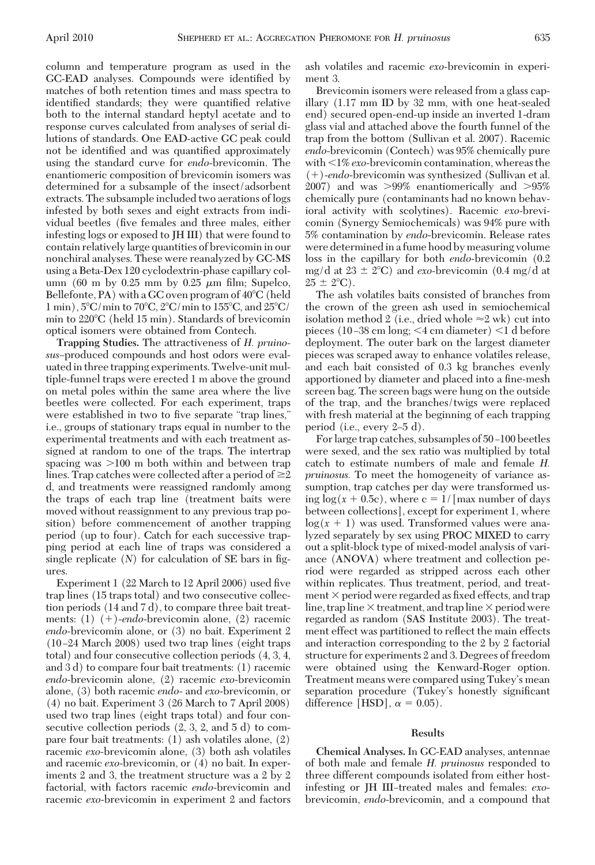column and temperature program as used in the GC-EAD analyses. Compounds were identified by matches of both retention times and mass spectra to identified standards; they were quantified relative both to the internal standard heptyl acetate and to response curves calculated from analyses of serial dilutions of standards. One EAD-active GC peak could not be identified and was quantified approximately using the standard curve for *endo*-brevicomin. The enantiomeric composition of brevicomin isomers was determined for a subsample of the insect/adsorbent extracts. The subsample included two aerations of logs infested by both sexes and eight extracts from individual beetles (five females and three males, either infesting logs or exposed to JH III) that were found to contain relatively large quantities of brevicomin in our nonchiral analyses. These were reanalyzed by GC-MS using a Beta-Dex 120 cyclodextrin-phase capillary column (60 m by 0.25 mm by 0.25  $\mu$ m film; Supelco, Bellefonte,  $PA$ ) with a GC oven program of  $40^{\circ}$ C (held  $1 \text{ min}$ ,  $5^{\circ}$ C/min to  $70^{\circ}$ C,  $2^{\circ}$ C/min to  $155^{\circ}$ C, and  $25^{\circ}$ C/ min to 220C (held 15 min). Standards of brevicomin optical isomers were obtained from Contech.

**Trapping Studies.** The attractiveness of *H. pruino*sus-produced compounds and host odors were evaluatedin three trapping experiments. Twelve-unit multiple-funnel traps were erected 1 m above the ground on metal poles within the same area where the live beetles were collected. For each experiment, traps were established in two to five separate "trap lines," i.e., groups of stationary traps equal in number to the experimental treatments and with each treatment assigned at random to one of the traps. The intertrap spacing was  $>100$  m both within and between trap lines. Trap catches were collected after a period of  $\geq\!\!2$ d, and treatments were reassigned randomly among the traps of each trap line (treatment baits were moved without reassignment to any previous trap position) before commencement of another trapping period (up to four). Catch for each successive trapping period at each line of traps was considered a single replicate  $(N)$  for calculation of SE bars in figures.

Experiment 1 (22 March to 12 April 2006) used five trap lines (15 traps total) and two consecutive collection periods (14 and 7 d), to compare three bait treatments: (1) (+)-*endo*-brevicomin alone, (2) racemic *endo*-brevicomin alone, or (3) no bait. Experiment 2  $(10-24 \text{ March } 2008)$  used two trap lines (eight traps total) and four consecutive collection periods (4, 3, 4, and 3 d) to compare four bait treatments: (1) racemic *endo*-brevicomin alone, (2) racemic *exo*-brevicomin alone, (3) both racemic *endo*- and *exo*-brevicomin, or (4) no bait. Experiment 3 (26 March to 7 April 2008) used two trap lines (eight traps total) and four consecutive collection periods (2, 3, 2, and 5 d) to compare four bait treatments: (1) ash volatiles alone, (2) racemic *exo*-brevicomin alone, (3) both ash volatiles and racemic *exo*-brevicomin, or (4) no bait. In experiments 2 and 3, the treatment structure was a 2 by 2 factorial, with factors racemic *endo*-brevicomin and racemic *exo*-brevicomin in experiment 2 and factors ash volatiles and racemic *exo*-brevicomin in experiment 3.

Brevicomin isomers were released from a glass capillary (1.17 mm ID by 32 mm, with one heat-sealed end) secured open-end-up inside an inverted 1-dram glass vial and attached above the fourth funnel of the trap from the bottom (Sullivan et al. 2007). Racemic *endo*-brevicomin (Contech) was 95% chemically pure with 1% *exo*-brevicomin contamination, whereas the ()-*endo*-brevicomin was synthesized (Sullivan et al. 2007) and was  $>99\%$  enantiomerically and  $>95\%$ chemically pure (contaminants had no known behavioral activity with scolytines). Racemic *exo*-brevicomin (Synergy Semiochemicals) was 94% pure with 5% contamination by *endo*-brevicomin. Release rates were determined in a fume hood by measuring volume loss in the capillary for both *endo*-brevicomin (0.2 mg/d at  $23 \pm 2$ °C) and *exo*-brevicomin (0.4 mg/d at  $25 \pm 2^{\circ}C$ .

The ash volatiles baits consisted of branches from the crown of the green ash used in semiochemical isolation method 2 (i.e., dried whole  $\approx$  2 wk) cut into pieces (10–38 cm long;  $\leq$ 4 cm diameter)  $\leq$ 1 d before deployment. The outer bark on the largest diameter pieces was scraped away to enhance volatiles release, and each bait consisted of 0.3 kg branches evenly apportioned by diameter and placed into a fine-mesh screen bag. The screen bags were hung on the outside of the trap, and the branches/twigs were replaced with fresh material at the beginning of each trapping period (i.e., every  $2-5$  d).

For large trap catches, subsamples of 50-100 beetles were sexed, and the sex ratio was multiplied by total catch to estimate numbers of male and female *H. pruinosus.* To meet the homogeneity of variance assumption, trap catches per day were transformed using  $log(x + 0.5c)$ , where  $c = 1/$ [max number of days] between collections], except for experiment 1, where  $log(x + 1)$  was used. Transformed values were analyzed separately by sex using PROC MIXED to carry out a split-block type of mixed-model analysis of variance (ANOVA) where treatment and collection period were regarded as stripped across each other within replicates. Thus treatment, period, and treatment  $\times$  period were regarded as fixed effects, and trap line, trap line  $\times$  treatment, and trap line  $\times$  period were regarded as random (SAS Institute 2003). The treatment effect was partitioned to reßect the main effects and interaction corresponding to the 2 by 2 factorial structure for experiments 2 and 3. Degrees of freedom were obtained using the Kenward-Roger option. Treatment means were compared using Tukey's mean separation procedure (Tukey's honestly significant difference [HSD],  $\alpha = 0.05$ ).

#### **Results**

**Chemical Analyses.** In GC-EAD analyses, antennae of both male and female *H. pruinosus* responded to three different compounds isolated from either hostinfesting or JH III-treated males and females: exobrevicomin, *endo*-brevicomin, and a compound that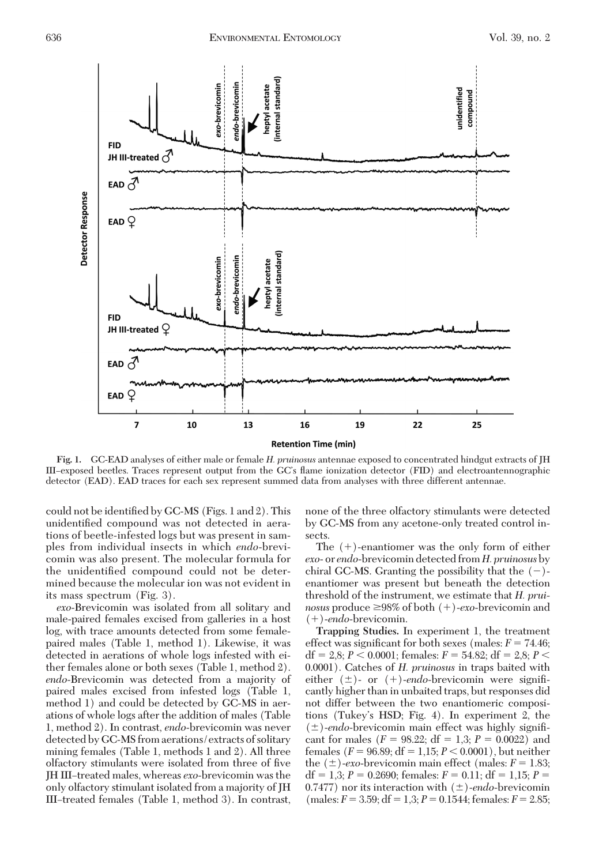

**Fig. 1.** GC-EAD analyses of either male or female *H. pruinosus* antennae exposed to concentrated hindgut extracts of JH III–exposed beetles. Traces represent output from the GC's flame ionization detector (FID) and electroantennographic detector (EAD). EAD traces for each sex represent summed data from analyses with three different antennae.

could not be identified by GC-MS (Figs. 1 and 2). This unidentified compound was not detected in aerations of beetle-infested logs but was present in samples from individual insects in which *endo*-brevicomin was also present. The molecular formula for the unidentified compound could not be determined because the molecular ion was not evident in its mass spectrum (Fig. 3).

*exo*-Brevicomin was isolated from all solitary and male-paired females excised from galleries in a host log, with trace amounts detected from some femalepaired males (Table 1, method 1). Likewise, it was detected in aerations of whole logs infested with either females alone or both sexes (Table 1, method 2). *endo*-Brevicomin was detected from a majority of paired males excised from infested logs (Table 1, method 1) and could be detected by GC-MS in aerations of whole logs after the addition of males (Table 1, method 2). In contrast, *endo*-brevicomin was never detected by GC-MS from aerations/extracts of solitary mining females (Table 1, methods 1 and 2). All three olfactory stimulants were isolated from three of five JH III-treated males, whereas *exo*-brevicomin was the only olfactory stimulant isolated from a majority of JH III-treated females (Table 1, method 3). In contrast, none of the three olfactory stimulants were detected by GC-MS from any acetone-only treated control insects.

The  $(+)$ -enantiomer was the only form of either *exo*- or *endo*-brevicomin detected from *H. pruinosus*by chiral GC-MS. Granting the possibility that the  $(-)$ enantiomer was present but beneath the detection threshold of the instrument, we estimate that *H. prui*nosus produce ≥98% of both (+)-*exo*-brevicomin and ()-*endo*-brevicomin.

**Trapping Studies.** In experiment 1, the treatment effect was significant for both sexes (males:  $F = 74.46$ ; df = 2,8;  $P < 0.0001$ ; females:  $F = 54.82$ ; df = 2,8;  $P <$ 0.0001). Catches of *H. pruinosus* in traps baited with either  $(\pm)$ - or  $(+)$ -endo-brevicomin were significantly higher than in unbaited traps, but responses did not differ between the two enantiomeric compositions (Tukey's HSD; Fig. 4). In experiment 2, the ( $\pm$ )-endo-brevicomin main effect was highly significant for males  $(F = 98.22; df = 1,3; P = 0.0022)$  and females ( $F = 96.89$ ;  $df = 1,15; P < 0.0001$ ), but neither the  $(\pm)$ *-exo*-brevicomin main effect (males:  $F = 1.83$ ; df = 1,3;  $P = 0.2690$ ; females:  $F = 0.11$ ; df = 1,15;  $P =$ 0.7477) nor its interaction with  $(\pm)$ -endo-brevicomin  $(males: F = 3.59; df = 1,3; P = 0.1544; females: F = 2.85;$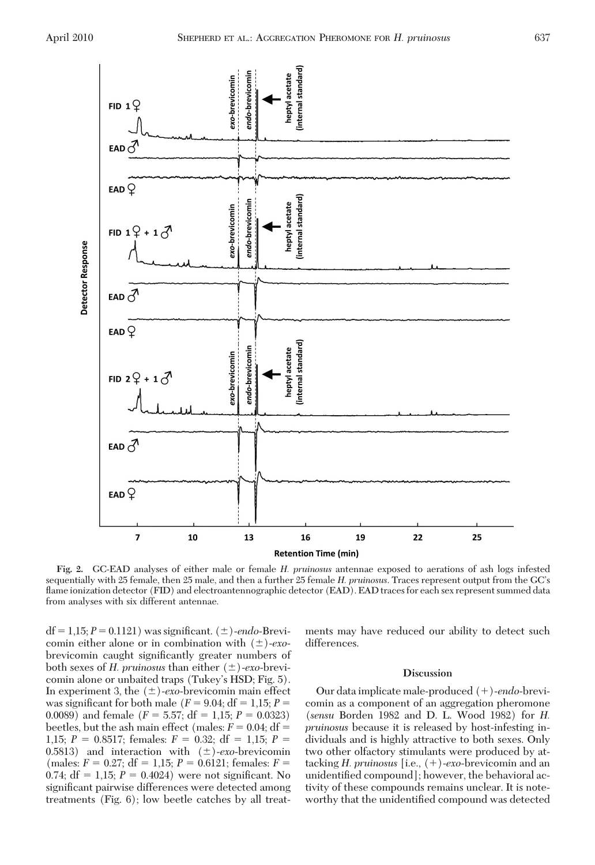

**Fig. 2.** GC-EAD analyses of either male or female *H. pruinosus* antennae exposed to aerations of ash logs infested sequentially with 25 female, then 25 male, and then a further 25 female *H. pruinosus*. Traces represent output from the GC's flame ionization detector (FID) and electroantennographic detector (EAD). EAD traces for each sex represent summed data from analyses with six different antennae.

 $df = 1,15; P = 0.1121$  was significant.  $(\pm)$ -endo-Brevicomin either alone or in combination with  $(\pm)$ -exobrevicomin caught significantly greater numbers of both sexes of *H. pruinosus* than either ( $\pm$ )-exo-brevicomin alone or unbaited traps (Tukey's HSD; Fig. 5). In experiment 3, the  $(\pm)$ -*exo*-brevicomin main effect was significant for both male ( $F = 9.04$ ; df = 1,15;  $P =$ 0.0089) and female  $(F = 5.57; df = 1,15; P = 0.0323)$ beetles, but the ash main effect (males:  $F = 0.04$ ; df = 1,15;  $P = 0.8517$ ; females:  $F = 0.32$ ; df = 1,15;  $P =$ 0.5813) and interaction with  $(\pm)$ -exo-brevicomin  $(males: F = 0.27; df = 1.15; P = 0.6121; females: F =$ 0.74;  $df = 1,15; P = 0.4024$  were not significant. No significant pairwise differences were detected among treatments (Fig. 6); low beetle catches by all treatments may have reduced our ability to detect such differences.

## **Discussion**

Our data implicate male-produced ()-*endo*-brevicomin as a component of an aggregation pheromone (*sensu* Borden 1982 and D. L. Wood 1982) for *H. pruinosus* because it is released by host-infesting individuals and is highly attractive to both sexes. Only two other olfactory stimulants were produced by attacking *H. pruinosus* [i.e., ()-*exo*-brevicomin and an unidentified compound]; however, the behavioral activity of these compounds remains unclear. It is noteworthy that the unidentified compound was detected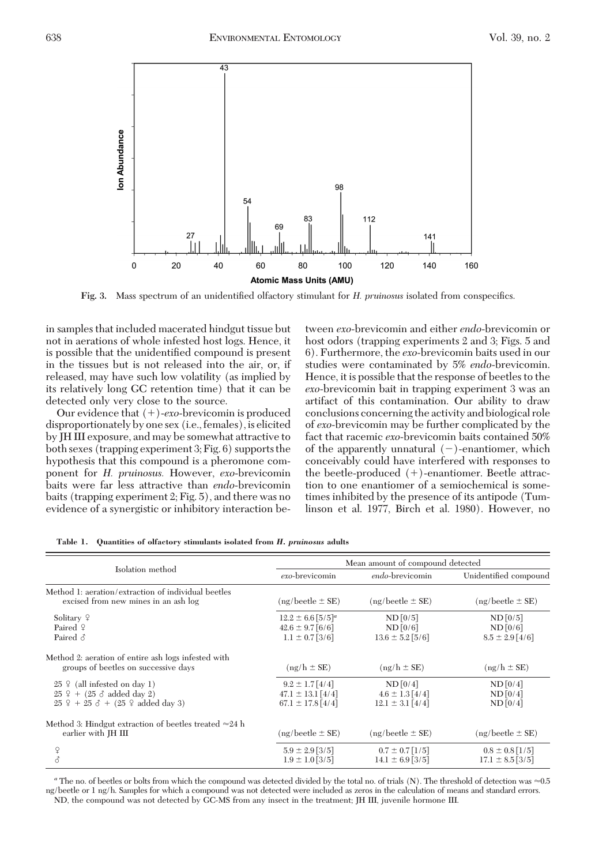

Fig. 3. Mass spectrum of an unidentified olfactory stimulant for *H. pruinosus* isolated from conspecifics.

in samples that included macerated hindgut tissue but not in aerations of whole infested host logs. Hence, it is possible that the unidentified compound is present in the tissues but is not released into the air, or, if released, may have such low volatility (as implied by its relatively long GC retention time) that it can be detected only very close to the source.

Our evidence that  $(+)$ -exo-brevicomin is produced disproportionately by one sex (i.e., females), is elicited by JH III exposure, and may be somewhat attractive to both sexes (trapping experiment 3; Fig. 6) supports the hypothesis that this compound is a pheromone component for *H. pruinosus.* However, *exo*-brevicomin baits were far less attractive than *endo*-brevicomin baits (trapping experiment 2; Fig. 5), and there was no evidence of a synergistic or inhibitory interaction between *exo*-brevicomin and either *endo*-brevicomin or host odors (trapping experiments 2 and 3; Figs. 5 and 6). Furthermore, the *exo*-brevicomin baits used in our studies were contaminated by 5% *endo*-brevicomin. Hence, it is possible that the response of beetles to the *exo*-brevicomin bait in trapping experiment 3 was an artifact of this contamination. Our ability to draw conclusions concerning the activity and biological role of *exo*-brevicomin may be further complicated by the fact that racemic *exo*-brevicomin baits contained 50% of the apparently unnatural  $(-)$ -enantiomer, which conceivably could have interfered with responses to the beetle-produced  $(+)$ -enantiomer. Beetle attraction to one enantiomer of a semiochemical is sometimes inhibited by the presence of its antipode (Tumlinson et al. 1977, Birch et al. 1980). However, no

| Isolation method                                                                                                                           | Mean amount of compound detected                                                 |                                                         |                                              |
|--------------------------------------------------------------------------------------------------------------------------------------------|----------------------------------------------------------------------------------|---------------------------------------------------------|----------------------------------------------|
|                                                                                                                                            | exo-brevicomin                                                                   | endo-brevicomin                                         | Unidentified compound                        |
| Method 1: aeration/extraction of individual beetles<br>excised from new mines in an ash log                                                | $(ng/beetle \pm SE)$                                                             | $(ng/beetle \pm SE)$                                    | $(ng/beetle \pm SE)$                         |
| Solitary $\varphi$<br>Paired $9$<br>Paired $\delta$                                                                                        | $12.2 \pm 6.6$ [5/5] <sup>a</sup><br>$42.6 \pm 9.7$ [6/6]<br>$1.1 \pm 0.7$ [3/6] | $ND$ [0/5]<br>$ND$ $[0/6]$<br>$13.6 \pm 5.2$ [5/6]      | ND[0/5]<br>$ND$ [0/6]<br>$8.5 \pm 2.9$ [4/6] |
| Method 2: aeration of entire ash logs infested with<br>groups of beetles on successive days                                                | $(ng/h \pm SE)$                                                                  | $(ng/h \pm SE)$                                         | $(ng/h \pm SE)$                              |
| $25 \div$ (all infested on day 1)<br>$25$ $9 + (25 \delta$ added day 2)<br>$25 \frac{6}{7} + 25 \, \delta + (25 \frac{6}{7})$ added day 3) | $9.2 \pm 1.7$ [4/4]<br>$47.1 \pm 13.1$ [4/4]<br>$67.1 \pm 17.8$ [4/4]            | ND [0/4]<br>$4.6 \pm 1.3$ [4/4]<br>$12.1 \pm 3.1$ [4/4] | ND[0/4]<br>ND[0/4]<br>$ND$ [0/4]             |
| Method 3: Hindgut extraction of beetles treated $\approx 24$ h<br>earlier with JH III                                                      | $(ng/beetle \pm SE)$                                                             | $(ng/beetle \pm SE)$                                    | $(ng/beetle \pm SE)$                         |
| ¥<br>8                                                                                                                                     | $5.9 \pm 2.9$ [3/5]<br>$1.9 \pm 1.0$ [3/5]                                       | $0.7 \pm 0.7$ [1/5]<br>$14.1 \pm 6.9$ [3/5]             | $0.8 \pm 0.8$ [1/5]<br>$17.1 \pm 8.5$ [3/5]  |

**Table 1. Quantities of olfactory stimulants isolated from** *H. pruinosus* **adults**

<sup>a</sup> The no. of beetles or bolts from which the compound was detected divided by the total no. of trials (N). The threshold of detection was ≈0.5 ng/beetle or 1 ng/h. Samples for which a compound was not detected were included as zeros in the calculation of means and standard errors. ND, the compound was not detected by GC-MS from any insect in the treatment; JH III, juvenile hormone III.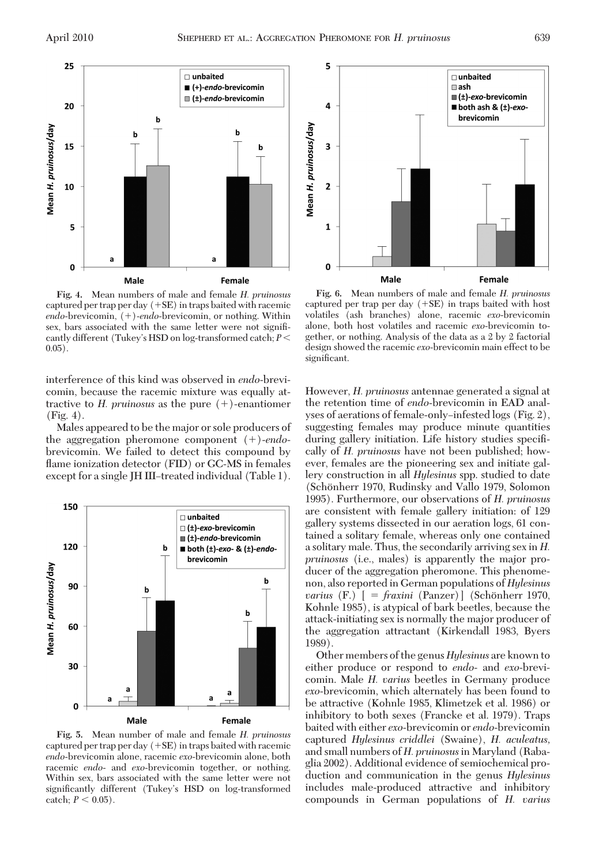

**Fig. 4.** Mean numbers of male and female *H. pruinosus* captured per trap per day  $(+SE)$  in traps baited with racemic endo-brevicomin,  $(+)$ -endo-brevicomin, or nothing. Within sex, bars associated with the same letter were not signiÞcantly different (Tukey's HSD on log-transformed catch;  $P$  <  $0.05$ ).

interference of this kind was observed in *endo*-brevicomin, because the racemic mixture was equally attractive to *H. pruinosus* as the pure  $(+)$ -enantiomer (Fig. 4).

Males appeared to be the major or sole producers of the aggregation pheromone component  $(+)$ -endobrevicomin. We failed to detect this compound by flame ionization detector (FID) or GC-MS in females except for a single JH III-treated individual (Table 1).



**Fig. 5.** Mean number of male and female *H. pruinosus* captured per trap per day  $(+SE)$  in traps baited with racemic *endo*-brevicomin alone, racemic *exo*-brevicomin alone, both racemic *endo*- and *exo*-brevicomin together, or nothing. Within sex, bars associated with the same letter were not significantly different (Tukey's HSD on log-transformed catch;  $P < 0.05$ ).



**Fig. 6.** Mean numbers of male and female *H. pruinosus* captured per trap per day  $(+SE)$  in traps baited with host volatiles (ash branches) alone, racemic *exo*-brevicomin alone, both host volatiles and racemic *exo*-brevicomin together, or nothing. Analysis of the data as a 2 by 2 factorial design showed the racemic *exo*-brevicomin main effect to be significant.

However, *H. pruinosus* antennae generated a signal at the retention time of *endo*-brevicomin in EAD analyses of aerations of female-only-infested logs (Fig. 2), suggesting females may produce minute quantities during gallery initiation. Life history studies speciÞcally of *H. pruinosus* have not been published; however, females are the pioneering sex and initiate gallery construction in all *Hylesinus* spp. studied to date (Schönherr 1970, Rudinsky and Vallo 1979, Solomon 1995). Furthermore, our observations of *H. pruinosus* are consistent with female gallery initiation: of 129 gallery systems dissected in our aeration logs, 61 contained a solitary female, whereas only one contained a solitary male. Thus, the secondarily arriving sex in *H. pruinosus* (i.e., males) is apparently the major producer of the aggregation pheromone. This phenomenon, also reported in German populations of *Hylesinus varius* (F.) [ = *fraxini* (Panzer)] (Schönherr 1970, Kohnle 1985), is atypical of bark beetles, because the attack-initiating sex is normally the major producer of the aggregation attractant (Kirkendall 1983, Byers 1989).

Other members of the genus *Hylesinus* are known to either produce or respond to *endo*- and *exo*-brevicomin. Male *H. varius* beetles in Germany produce *exo*-brevicomin, which alternately has been found to be attractive (Kohnle 1985, Klimetzek et al. 1986) or inhibitory to both sexes (Francke et al. 1979). Traps baited with either *exo*-brevicomin or *endo*-brevicomin captured *Hylesinus criddlei* (Swaine), *H. aculeatus,* and small numbers of *H. pruinosus*in Maryland (Rabaglia 2002). Additional evidence of semiochemical production and communication in the genus *Hylesinus* includes male-produced attractive and inhibitory compounds in German populations of *H. varius*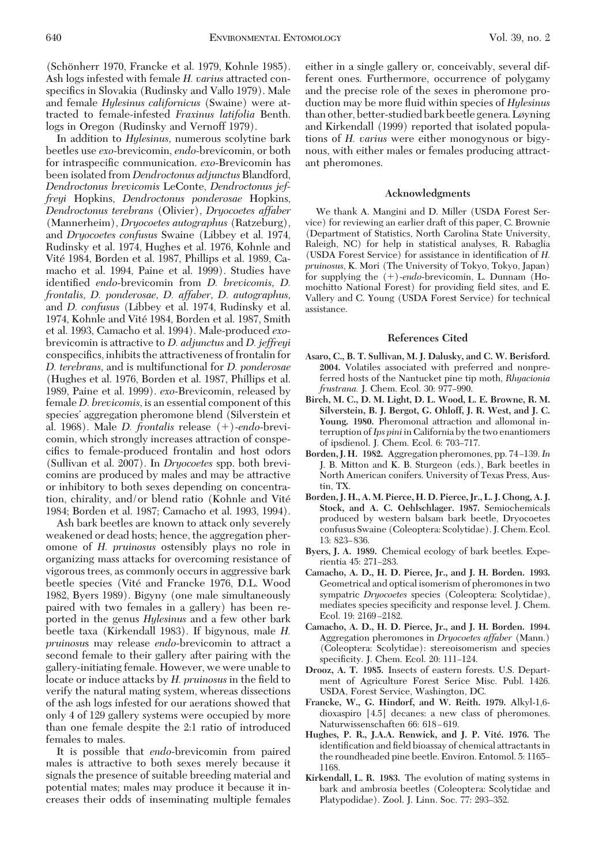(Schönherr 1970, Francke et al. 1979, Kohnle 1985). Ash logs infested with female *H. varius* attracted conspecifics in Slovakia (Rudinsky and Vallo 1979). Male and female *Hylesinus californicus* (Swaine) were attracted to female-infested *Fraxinus latifolia* Benth. logs in Oregon (Rudinsky and Vernoff 1979).

In addition to *Hylesinus,* numerous scolytine bark beetles use *exo*-brevicomin, *endo*-brevicomin, or both for intraspecific communication. *exo*-Brevicomin has been isolated from *Dendroctonus adjunctus* Blandford, *Dendroctonus brevicomis* LeConte, *Dendroctonus jeffreyi* Hopkins, *Dendroctonus ponderosae* Hopkins, *Dendroctonus terebrans* (Olivier), *Dryocoetes affaber* (Mannerheim), *Dryocoetes autographus* (Ratzeburg), and *Dryocoetes confusus* Swaine (Libbey et al. 1974, Rudinsky et al. 1974, Hughes et al. 1976, Kohnle and Vité 1984, Borden et al. 1987, Phillips et al. 1989, Camacho et al. 1994, Paine et al. 1999). Studies have identified *endo*-brevicomin from *D. brevicomis*, *D. frontalis, D. ponderosae, D. affaber, D. autographus,* and *D. confusus* (Libbey et al. 1974, Rudinsky et al. 1974, Kohnle and Vité 1984, Borden et al. 1987, Smith et al. 1993, Camacho et al. 1994). Male-produced *exo*brevicomin is attractive to *D. adjunctus* and *D. jeffreyi* conspecifics, inhibits the attractiveness of frontalin for *D. terebrans,* and is multifunctional for *D. ponderosae* (Hughes et al. 1976, Borden et al. 1987, Phillips et al. 1989, Paine et al. 1999). *exo*-Brevicomin, released by female *D. brevicomis,* is an essential component of this species' aggregation pheromone blend (Silverstein et al. 1968). Male *D. frontalis* release (+)-endo-brevicomin, which strongly increases attraction of conspecifics to female-produced frontalin and host odors (Sullivan et al. 2007). In *Dryocoetes* spp. both brevicomins are produced by males and may be attractive or inhibitory to both sexes depending on concentration, chirality, and/or blend ratio (Kohnle and Vite´ 1984; Borden et al. 1987; Camacho et al. 1993, 1994).

Ash bark beetles are known to attack only severely weakened or dead hosts; hence, the aggregation pheromone of *H. pruinosus* ostensibly plays no role in organizing mass attacks for overcoming resistance of vigorous trees, as commonly occurs in aggressive bark beetle species (Vité and Francke 1976, D.L. Wood 1982, Byers 1989). Bigyny (one male simultaneously paired with two females in a gallery) has been reported in the genus *Hylesinus* and a few other bark beetle taxa (Kirkendall 1983). If bigynous, male *H. pruinosu*s may release *endo*-brevicomin to attract a second female to their gallery after pairing with the gallery-initiating female. However, we were unable to locate or induce attacks by *H. pruinosus* in the field to verify the natural mating system, whereas dissections of the ash logs infested for our aerations showed that only 4 of 129 gallery systems were occupied by more than one female despite the 2:1 ratio of introduced females to males.

It is possible that *endo*-brevicomin from paired males is attractive to both sexes merely because it signals the presence of suitable breeding material and potential mates; males may produce it because it increases their odds of inseminating multiple females either in a single gallery or, conceivably, several different ones. Furthermore, occurrence of polygamy and the precise role of the sexes in pheromone production may be more ßuid within species of *Hylesinus* than other, better-studied bark beetle genera. Løyning and Kirkendall (1999) reported that isolated populations of *H. varius* were either monogynous or bigynous, with either males or females producing attractant pheromones.

## **Acknowledgments**

We thank A. Mangini and D. Miller (USDA Forest Service) for reviewing an earlier draft of this paper, C. Brownie (Department of Statistics, North Carolina State University, Raleigh, NC) for help in statistical analyses, R. Rabaglia (USDA Forest Service) for assistance in identification of *H*. *pruinosus*, K. Mori (The University of Tokyo, Tokyo, Japan) for supplying the  $(+)$ -endo-brevicomin, L. Dunnam (Homochitto National Forest) for providing field sites, and E. Vallery and C. Young (USDA Forest Service) for technical assistance.

#### **References Cited**

- **Asaro, C., B. T. Sullivan, M. J. Dalusky, and C. W. Berisford. 2004.** Volatiles associated with preferred and nonpreferred hosts of the Nantucket pine tip moth, *Rhyacionia frustrana.* J. Chem. Ecol. 30: 977-990.
- **Birch, M. C., D. M. Light, D. L. Wood, L. E. Browne, R. M. Silverstein, B. J. Bergot, G. Ohloff, J. R. West, and J. C. Young. 1980.** Pheromonal attraction and allomonal interruption of*Ips pini*in California by the two enantiomers of ipsdienol. J. Chem. Ecol. 6: 703–717.
- Borden, J. H. 1982. Aggregation pheromones, pp. 74-139. In J. B. Mitton and K. B. Sturgeon (eds.), Bark beetles in North American conifers. University of Texas Press, Austin, TX.
- **Borden, J. H., A. M. Pierce, H. D. Pierce, Jr., L. J. Chong, A. J. Stock, and A. C. Oehlschlager. 1987.** Semiochemicals produced by western balsam bark beetle, Dryocoetes confusus Swaine (Coleoptera: Scolytidae). J. Chem. Ecol. 13: 823–836.
- **Byers, J. A. 1989.** Chemical ecology of bark beetles. Experientia 45: 271-283.
- **Camacho, A. D., H. D. Pierce, Jr., and J. H. Borden. 1993.** Geometrical and optical isomerism of pheromones in two sympatric *Dryocoetes* species (Coleoptera: Scolytidae), mediates species specificity and response level. J. Chem. Ecol. 19: 2169-2182.
- **Camacho, A. D., H. D. Pierce, Jr., and J. H. Borden. 1994.** Aggregation pheromones in *Dryocoetes affaber* (Mann.) (Coleoptera: Scolytidae): stereoisomerism and species specificity. J. Chem. Ecol. 20: 111–124.
- **Drooz, A. T. 1985.** Insects of eastern forests. U.S. Department of Agriculture Forest Serice Misc. Publ. 1426. USDA, Forest Service, Washington, DC.
- **Francke, W., G. Hindorf, and W. Reith. 1979.** Alkyl-1,6 dioxaspiro [4.5] decanes: a new class of pheromones. Naturwissenschaften 66: 618-619.
- **Hughes, P. R., J.A.A. Renwick, and J. P. Vite´. 1976.** The identification and field bioassay of chemical attractants in the roundheaded pine beetle. Environ. Entomol. 5: 1165– 1168.
- **Kirkendall, L. R. 1983.** The evolution of mating systems in bark and ambrosia beetles (Coleoptera: Scolytidae and Platypodidae). Zool. J. Linn. Soc. 77: 293–352.